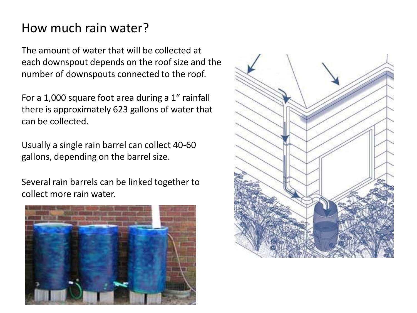## How much rain water?

The amount of water that will be collected at each downspout depends on the roof size and the number of downspouts connected to the roof.

For a 1,000 square foot area during a 1" rainfall there is approximately 623 gallons of water that can be collected.

Usually a single rain barrel can collect 40-60 gallons, depending on the barrel size.

Several rain barrels can be linked together to collect more rain water.



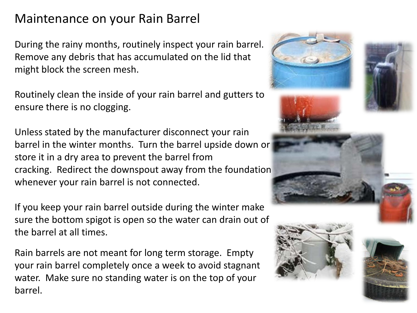## Maintenance on your Rain Barrel

During the rainy months, routinely inspect your rain barrel. Remove any debris that has accumulated on the lid that might block the screen mesh.

Routinely clean the inside of your rain barrel and gutters to ensure there is no clogging.

Unless stated by the manufacturer disconnect your rain barrel in the winter months. Turn the barrel upside down or store it in a dry area to prevent the barrel from cracking. Redirect the downspout away from the foundation whenever your rain barrel is not connected.

If you keep your rain barrel outside during the winter make sure the bottom spigot is open so the water can drain out of the barrel at all times.

Rain barrels are not meant for long term storage. Empty your rain barrel completely once a week to avoid stagnant water. Make sure no standing water is on the top of your barrel.